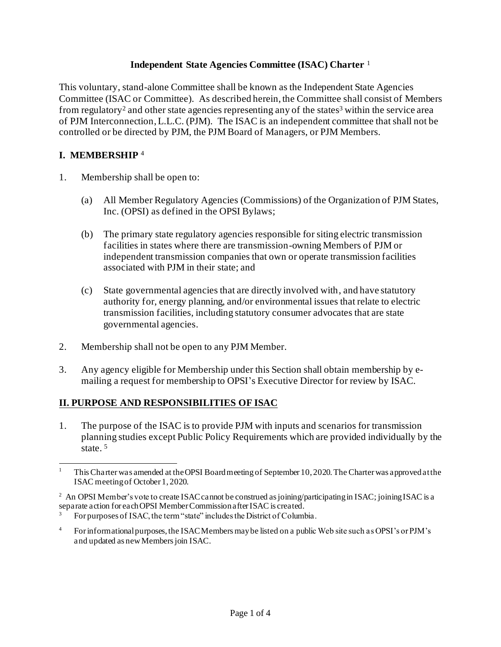#### **Independent State Agencies Committee (ISAC) Charter** <sup>1</sup>

This voluntary, stand-alone Committee shall be known as the Independent State Agencies Committee (ISAC or Committee). As described herein, the Committee shall consist of Members from regulatory<sup>2</sup> and other state agencies representing any of the states<sup>3</sup> within the service area of PJM Interconnection,L.L.C. (PJM). The ISAC is an independent committee that shall not be controlled or be directed by PJM, the PJM Board of Managers, or PJM Members.

### **I. MEMBERSHIP** <sup>4</sup>

- 1. Membership shall be open to:
	- (a) All Member Regulatory Agencies (Commissions) of the Organization of PJM States, Inc. (OPSI) as defined in the OPSI Bylaws;
	- (b) The primary state regulatory agencies responsible for siting electric transmission facilities in states where there are transmission-owning Members of PJM or independent transmission companies that own or operate transmission facilities associated with PJM in their state; and
	- (c) State governmental agencies that are directly involved with, and have statutory authority for, energy planning, and/or environmental issues that relate to electric transmission facilities, including statutory consumer advocates that are state governmental agencies.
- 2. Membership shall not be open to any PJM Member.
- 3. Any agency eligible for Membership under this Section shall obtain membership by emailing a request for membership to OPSI's Executive Director for review by ISAC.

#### **II. PURPOSE AND RESPONSIBILITIES OF ISAC**

1. The purpose of the ISAC is to provide PJM with inputs and scenarios for transmission planning studies except Public Policy Requirements which are provided individually by the state. 5

<sup>1</sup> This Charterwas amended at the OPSI Board meeting of September 10, 2020. The Charter was approved at the ISAC meeting of October 1, 2020.

<sup>&</sup>lt;sup>2</sup> An OPSI Member's vote to create ISAC cannot be construed as joining/participating in ISAC; joining ISAC is a separate action for each OPSI Member Commission after ISAC is created.

For purposes of ISAC, the term "state" includes the District of Columbia.

<sup>&</sup>lt;sup>4</sup> For informational purposes, the ISAC Members may be listed on a public Web site such as OPSI's or PJM's and updated as new Members join ISAC.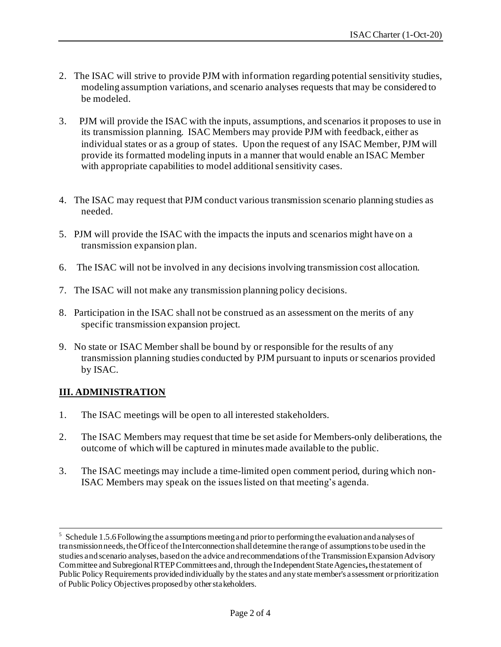- 2. The ISAC will strive to provide PJM with information regarding potential sensitivity studies, modeling assumption variations, and scenario analyses requests that may be considered to be modeled.
- 3. PJM will provide the ISAC with the inputs, assumptions, and scenarios it proposes to use in its transmission planning. ISAC Members may provide PJM with feedback, either as individual states or as a group of states. Upon the request of any ISAC Member, PJM will provide its formatted modeling inputs in a manner that would enable an ISAC Member with appropriate capabilities to model additional sensitivity cases.
- 4. The ISAC may request that PJM conduct various transmission scenario planning studies as needed.
- 5. PJM will provide the ISAC with the impacts the inputs and scenarios might have on a transmission expansion plan.
- 6. The ISAC will not be involved in any decisions involving transmission cost allocation.
- 7. The ISAC will not make any transmission planning policy decisions.
- 8. Participation in the ISAC shall not be construed as an assessment on the merits of any specific transmission expansion project.
- 9. No state or ISAC Member shall be bound by or responsible for the results of any transmission planning studies conducted by PJM pursuant to inputs or scenarios provided by ISAC.

#### **III. ADMINISTRATION**

- 1. The ISAC meetings will be open to all interested stakeholders.
- 2. The ISAC Members may request that time be set aside for Members-only deliberations, the outcome of which will be captured in minutes made available to the public.
- 3. The ISAC meetings may include a time-limited open comment period, during which non-ISAC Members may speak on the issues listed on that meeting's agenda.

<sup>&</sup>lt;sup>5</sup> Schedule 1.5.6 Following the assumptions meeting and prior to performing the evaluation and analyses of transmission needs, the Office of the Interconnection shall determine the range of assumptions to be used in the studies and scenario analyses, based on the advice and recommendations of the Transmission Expansion Advisory Committee and Subregional RTEP Committees and, through the IndependentStateAgencies**,**the statement of Public Policy Requirements provided individually by the states and any state member's assessment or prioritization of Public Policy Objectives proposed by other stakeholders.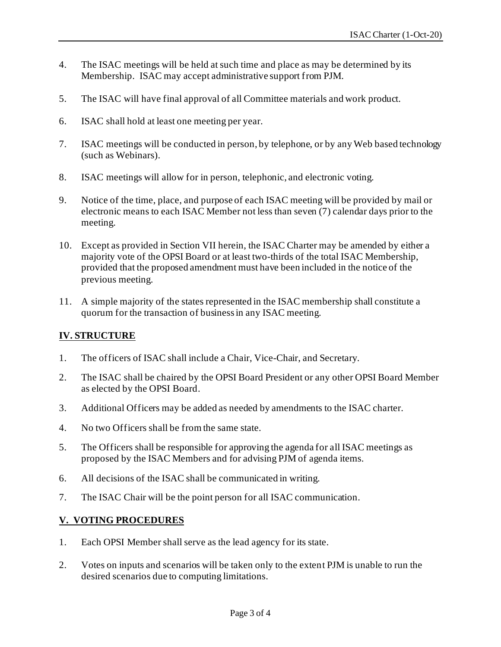- 4. The ISAC meetings will be held at such time and place as may be determined by its Membership. ISAC may accept administrative support from PJM.
- 5. The ISAC will have final approval of all Committee materials and work product.
- 6. ISAC shall hold at least one meeting per year.
- 7. ISAC meetings will be conducted in person, by telephone, or by any Web based technology (such as Webinars).
- 8. ISAC meetings will allow for in person, telephonic, and electronic voting.
- 9. Notice of the time, place, and purpose of each ISAC meeting will be provided by mail or electronic means to each ISAC Member not less than seven (7) calendar days prior to the meeting.
- 10. Except as provided in Section VII herein, the ISAC Charter may be amended by either a majority vote of the OPSI Board or at least two-thirds of the total ISAC Membership, provided that the proposed amendment must have been included in the notice of the previous meeting.
- 11. A simple majority of the states represented in the ISAC membership shall constitute a quorum for the transaction of business in any ISAC meeting.

#### **IV. STRUCTURE**

- 1. The officers of ISAC shall include a Chair, Vice-Chair, and Secretary.
- 2. The ISAC shall be chaired by the OPSI Board President or any other OPSI Board Member as elected by the OPSI Board.
- 3. Additional Officers may be added as needed by amendments to the ISAC charter.
- 4. No two Officers shall be from the same state.
- 5. The Officers shall be responsible for approving the agenda for all ISAC meetings as proposed by the ISAC Members and for advising PJM of agenda items.
- 6. All decisions of the ISAC shall be communicated in writing.
- 7. The ISAC Chair will be the point person for all ISAC communication.

#### **V. VOTING PROCEDURES**

- 1. Each OPSI Member shall serve as the lead agency for its state.
- 2. Votes on inputs and scenarios will be taken only to the extent PJM is unable to run the desired scenarios due to computing limitations.